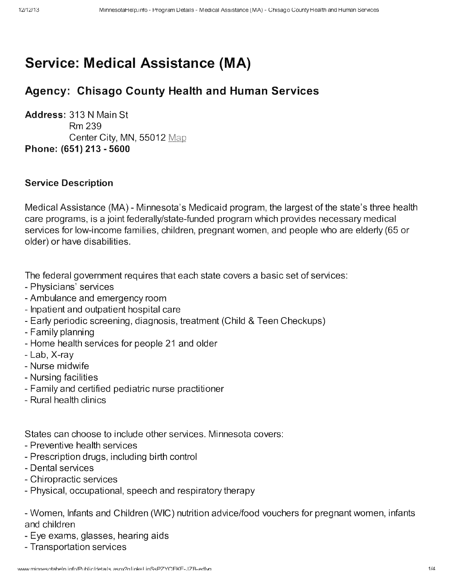# Service: **Medical Assistance (MA)**

# Agency: Chisago County Health and Human Services

Address: 313 N Main St Rm239 Center City, MN, 55012 Map Phone: (651) 213 - 5600

#### Service Description

Medical Assistance (MA) - Minnesota's Medicaid program, the largest of the state's three health care programs, is a joint federally/state-funded program which provides necessary medical services for low-income families, children, pregnant women, and people who are elderly (65 or older) or have disabilities.

The federal government requires that each state covers a basic set of services:

- Physicians' services
- Ambulance and emergency room
- Inpatient and outpatient hospital care
- Early periodic screening, diagnosis, treatment (Child & Teen Checkups)
- Family planning
- Home health services for people 21 and older
- Lab, X-ray
- Nurse midwife
- Nursing facilities
- Family and certified pediatric nurse practitioner
- Rural health clinics

States can choose to include other services. Minnesota covers:

- Preventive health services
- Prescription drugs, including birth control
- Dental services
- Chiropractic services
- Physical, occupational, speech and respiratory therapy

- Women, Infants and Children (WIC) nutrition advice/food vouchers for pregnant women, infants and children

- Eye exams, glasses, hearing aids
- Transportation services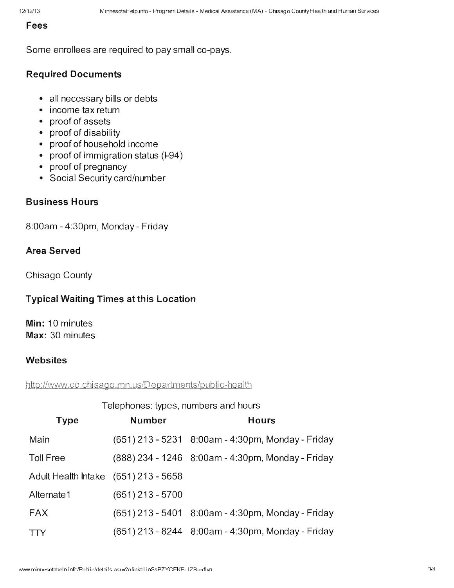#### Fees

Some enrollees are required to pay small co-pays.

# Required Documents

- all necessary bills or debts
- income tax return
- proof of assets
- proof of disability
- proof of household income
- proof of immigration status (I-94)
- proof of pregnancy
- Social Security card/number

#### Business Hours

8:00am - 4:30pm, Monday - Friday

#### Area Served

Chisago County

#### Typical Waiting Times at this Location

Min: 10 minutes Max: 30 minutes

### Websites

#### http://www.co.chisago.mn.us/Departments/public-health

| <b>Type</b>                          | <b>Number</b>      | <b>Hours</b>                                      |
|--------------------------------------|--------------------|---------------------------------------------------|
| Main                                 |                    | (651) 213 - 5231 8:00am - 4:30pm, Monday - Friday |
| <b>Toll Free</b>                     |                    | (888) 234 - 1246 8:00am - 4:30pm, Monday - Friday |
| Adult Health Intake (651) 213 - 5658 |                    |                                                   |
| Alternate1                           | $(651)$ 213 - 5700 |                                                   |
| <b>FAX</b>                           |                    | (651) 213 - 5401 8:00am - 4:30pm, Monday - Friday |
| <b>TTY</b>                           |                    | (651) 213 - 8244 8:00am - 4:30pm, Monday - Friday |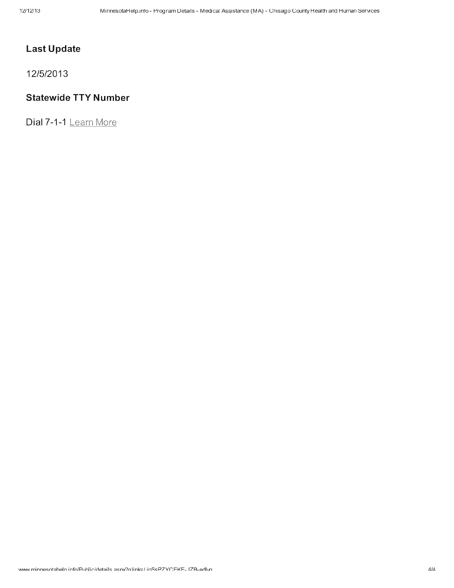# **Last Update**

12/5/2013

#### **Statewide TTY Number**

Dial 7-1-1 Learn More